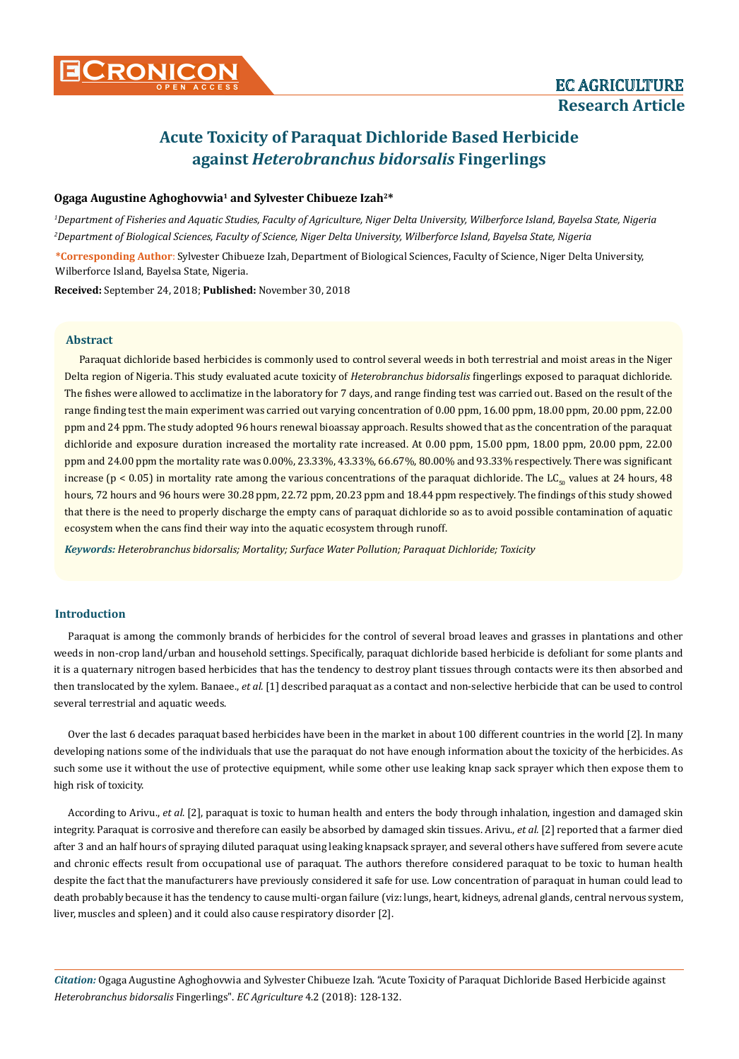# **Acute Toxicity of Paraquat Dichloride Based Herbicide against** *Heterobranchus bidorsalis* **Fingerlings**

#### **Ogaga Augustine Aghoghovwia1 and Sylvester Chibueze Izah2\***

*1 Department of Fisheries and Aquatic Studies, Faculty of Agriculture, Niger Delta University, Wilberforce Island, Bayelsa State, Nigeria 2 Department of Biological Sciences, Faculty of Science, Niger Delta University, Wilberforce Island, Bayelsa State, Nigeria*

**\*Corresponding Author**: Sylvester Chibueze Izah, Department of Biological Sciences, Faculty of Science, Niger Delta University, Wilberforce Island, Bayelsa State, Nigeria.

**Received:** September 24, 2018; **Published:** November 30, 2018

## **Abstract**

Paraquat dichloride based herbicides is commonly used to control several weeds in both terrestrial and moist areas in the Niger Delta region of Nigeria. This study evaluated acute toxicity of *Heterobranchus bidorsalis* fingerlings exposed to paraquat dichloride. The fishes were allowed to acclimatize in the laboratory for 7 days, and range finding test was carried out. Based on the result of the range finding test the main experiment was carried out varying concentration of 0.00 ppm, 16.00 ppm, 18.00 ppm, 20.00 ppm, 22.00 ppm and 24 ppm. The study adopted 96 hours renewal bioassay approach. Results showed that as the concentration of the paraquat dichloride and exposure duration increased the mortality rate increased. At 0.00 ppm, 15.00 ppm, 18.00 ppm, 20.00 ppm, 22.00 ppm and 24.00 ppm the mortality rate was 0.00%, 23.33%, 43.33%, 66.67%, 80.00% and 93.33% respectively. There was significant increase (p < 0.05) in mortality rate among the various concentrations of the paraquat dichloride. The  $LC_{50}$  values at 24 hours, 48 hours, 72 hours and 96 hours were 30.28 ppm, 22.72 ppm, 20.23 ppm and 18.44 ppm respectively. The findings of this study showed that there is the need to properly discharge the empty cans of paraquat dichloride so as to avoid possible contamination of aquatic ecosystem when the cans find their way into the aquatic ecosystem through runoff.

*Keywords: Heterobranchus bidorsalis; Mortality; Surface Water Pollution; Paraquat Dichloride; Toxicity*

## **Introduction**

Paraquat is among the commonly brands of herbicides for the control of several broad leaves and grasses in plantations and other weeds in non-crop land/urban and household settings. Specifically, paraquat dichloride based herbicide is defoliant for some plants and it is a quaternary nitrogen based herbicides that has the tendency to destroy plant tissues through contacts were its then absorbed and then translocated by the xylem. Banaee., *et al.* [1] described paraquat as a contact and non-selective herbicide that can be used to control several terrestrial and aquatic weeds.

Over the last 6 decades paraquat based herbicides have been in the market in about 100 different countries in the world [2]. In many developing nations some of the individuals that use the paraquat do not have enough information about the toxicity of the herbicides. As such some use it without the use of protective equipment, while some other use leaking knap sack sprayer which then expose them to high risk of toxicity.

According to Arivu., *et al*. [2], paraquat is toxic to human health and enters the body through inhalation, ingestion and damaged skin integrity. Paraquat is corrosive and therefore can easily be absorbed by damaged skin tissues. Arivu., *et al.* [2] reported that a farmer died after 3 and an half hours of spraying diluted paraquat using leaking knapsack sprayer, and several others have suffered from severe acute and chronic effects result from occupational use of paraquat. The authors therefore considered paraquat to be toxic to human health despite the fact that the manufacturers have previously considered it safe for use. Low concentration of paraquat in human could lead to death probably because it has the tendency to cause multi-organ failure (viz: lungs, heart, kidneys, adrenal glands, central nervous system, liver, muscles and spleen) and it could also cause respiratory disorder [2].

*Citation:* Ogaga Augustine Aghoghovwia and Sylvester Chibueze Izah*.* "Acute Toxicity of Paraquat Dichloride Based Herbicide against *Heterobranchus bidorsalis* Fingerlings". *EC Agriculture* 4.2 (2018): 128-132.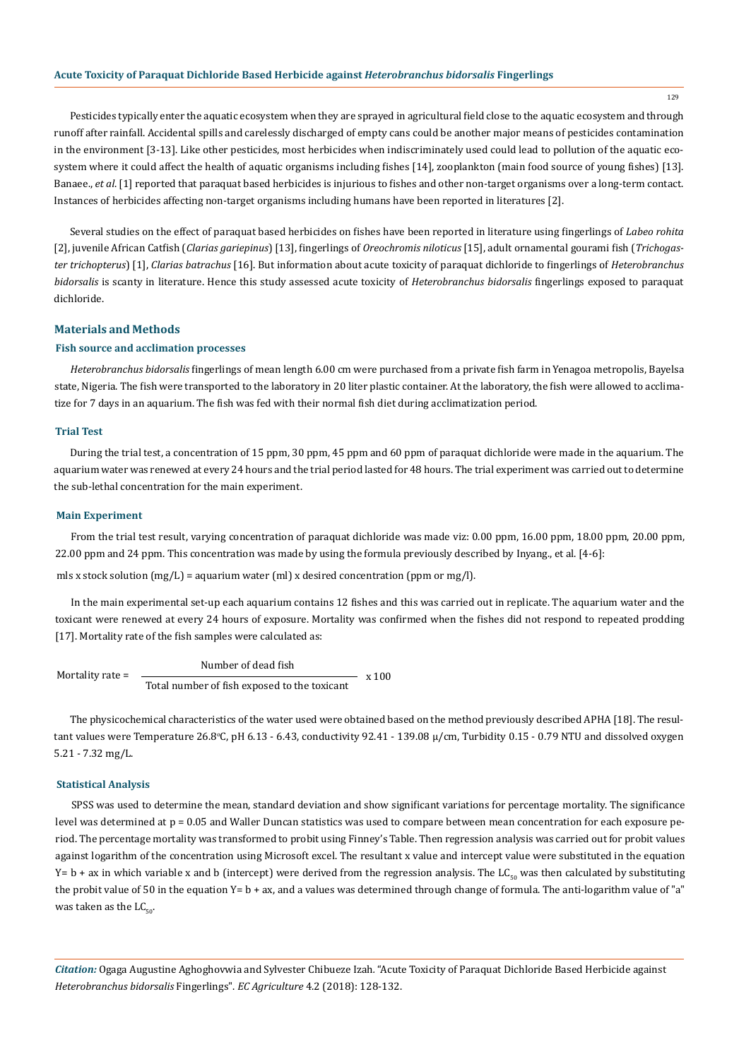#### **Acute Toxicity of Paraquat Dichloride Based Herbicide against** *Heterobranchus bidorsalis* **Fingerlings**

Pesticides typically enter the aquatic ecosystem when they are sprayed in agricultural field close to the aquatic ecosystem and through runoff after rainfall. Accidental spills and carelessly discharged of empty cans could be another major means of pesticides contamination in the environment [3-13]. Like other pesticides, most herbicides when indiscriminately used could lead to pollution of the aquatic ecosystem where it could affect the health of aquatic organisms including fishes [14], zooplankton (main food source of young fishes) [13]. Banaee., *et al*. [1] reported that paraquat based herbicides is injurious to fishes and other non-target organisms over a long-term contact. Instances of herbicides affecting non-target organisms including humans have been reported in literatures [2].

Several studies on the effect of paraquat based herbicides on fishes have been reported in literature using fingerlings of *Labeo rohita*  [2], juvenile African Catfish (*Clarias gariepinus*) [13], fingerlings of *Oreochromis niloticus* [15], adult ornamental gourami fish (*Trichogaster trichopterus*) [1], *Clarias batrachus* [16]. But information about acute toxicity of paraquat dichloride to fingerlings of *Heterobranchus bidorsalis* is scanty in literature. Hence this study assessed acute toxicity of *Heterobranchus bidorsalis* fingerlings exposed to paraquat dichloride.

## **Materials and Methods**

#### **Fish source and acclimation processes**

*Heterobranchus bidorsalis* fingerlings of mean length 6.00 cm were purchased from a private fish farm in Yenagoa metropolis, Bayelsa state, Nigeria. The fish were transported to the laboratory in 20 liter plastic container. At the laboratory, the fish were allowed to acclimatize for 7 days in an aquarium. The fish was fed with their normal fish diet during acclimatization period.

## **Trial Test**

During the trial test, a concentration of 15 ppm, 30 ppm, 45 ppm and 60 ppm of paraquat dichloride were made in the aquarium. The aquarium water was renewed at every 24 hours and the trial period lasted for 48 hours. The trial experiment was carried out to determine the sub-lethal concentration for the main experiment.

#### **Main Experiment**

From the trial test result, varying concentration of paraquat dichloride was made viz: 0.00 ppm, 16.00 ppm, 18.00 ppm, 20.00 ppm, 22.00 ppm and 24 ppm. This concentration was made by using the formula previously described by Inyang., et al. [4-6]:

mls x stock solution  $(mg/L)$  = aquarium water (ml) x desired concentration (ppm or mg/l).

In the main experimental set-up each aquarium contains 12 fishes and this was carried out in replicate. The aquarium water and the toxicant were renewed at every 24 hours of exposure. Mortality was confirmed when the fishes did not respond to repeated prodding [17]. Mortality rate of the fish samples were calculated as:

Mortality rate = Number of dead fish Total number of fish exposed to the toxicant  $x 100$ 

The physicochemical characteristics of the water used were obtained based on the method previously described APHA [18]. The resultant values were Temperature 26.8°C, pH 6.13 - 6.43, conductivity 92.41 - 139.08 µ/cm, Turbidity 0.15 - 0.79 NTU and dissolved oxygen 5.21 - 7.32 mg/L.

#### **Statistical Analysis**

SPSS was used to determine the mean, standard deviation and show significant variations for percentage mortality. The significance level was determined at  $p = 0.05$  and Waller Duncan statistics was used to compare between mean concentration for each exposure period. The percentage mortality was transformed to probit using Finney's Table. Then regression analysis was carried out for probit values against logarithm of the concentration using Microsoft excel. The resultant x value and intercept value were substituted in the equation Y= b + ax in which variable x and b (intercept) were derived from the regression analysis. The LC<sub>50</sub> was then calculated by substituting the probit value of 50 in the equation Y= b + ax, and a values was determined through change of formula. The anti-logarithm value of "a" was taken as the  $LC_{50}$ .

*Citation:* Ogaga Augustine Aghoghovwia and Sylvester Chibueze Izah*.* "Acute Toxicity of Paraquat Dichloride Based Herbicide against *Heterobranchus bidorsalis* Fingerlings". *EC Agriculture* 4.2 (2018): 128-132.

129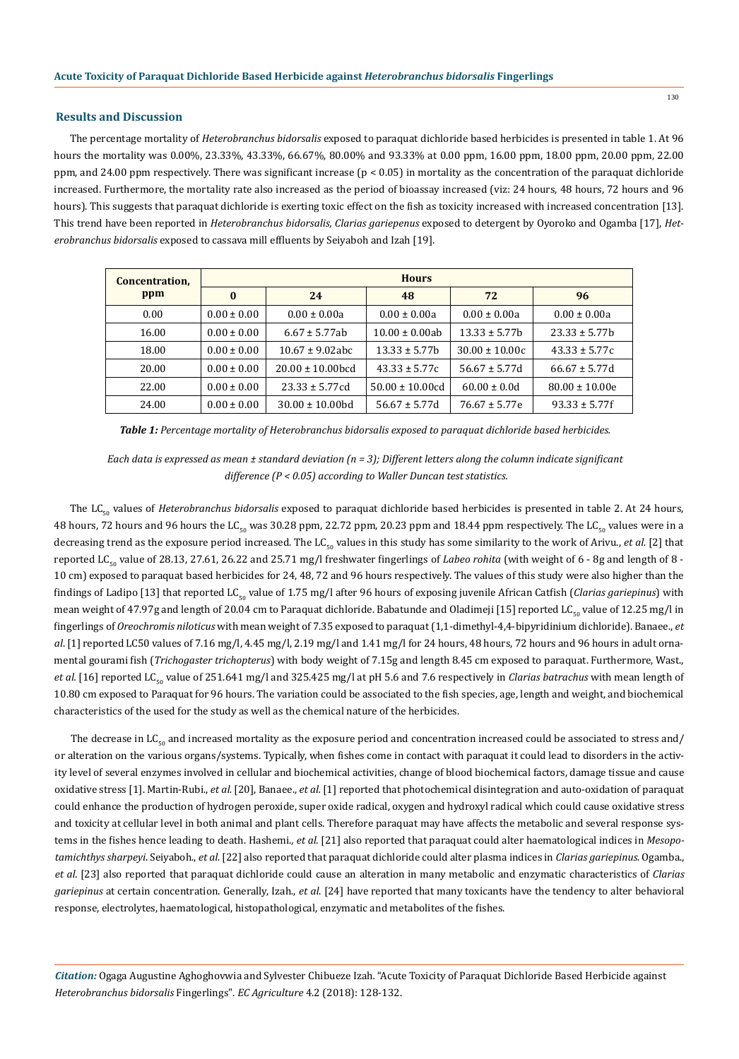#### **Results and Discussion**

The percentage mortality of *Heterobranchus bidorsalis* exposed to paraquat dichloride based herbicides is presented in table 1. At 96 hours the mortality was 0.00%, 23.33%, 43.33%, 66.67%, 80.00% and 93.33% at 0.00 ppm, 16.00 ppm, 18.00 ppm, 20.00 ppm, 22.00 ppm, and 24.00 ppm respectively. There was significant increase (p < 0.05) in mortality as the concentration of the paraquat dichloride increased. Furthermore, the mortality rate also increased as the period of bioassay increased (viz: 24 hours, 48 hours, 72 hours and 96 hours). This suggests that paraquat dichloride is exerting toxic effect on the fish as toxicity increased with increased concentration [13]. This trend have been reported in *Heterobranchus bidorsalis, Clarias gariepenus* exposed to detergent by Oyoroko and Ogamba [17], *Heterobranchus bidorsalis* exposed to cassava mill effluents by Seiyaboh and Izah [19].

| Concentration,<br>ppm | <b>Hours</b>    |                       |                     |                    |                    |
|-----------------------|-----------------|-----------------------|---------------------|--------------------|--------------------|
|                       | $\mathbf{0}$    | 24                    | 48                  | 72                 | 96                 |
| 0.00                  | $0.00 \pm 0.00$ | $0.00 \pm 0.00a$      | $0.00 \pm 0.00a$    | $0.00 \pm 0.00a$   | $0.00 \pm 0.00a$   |
| 16.00                 | $0.00 \pm 0.00$ | $6.67 \pm 5.77$ ab    | $10.00 \pm 0.00$ ab | $13.33 \pm 5.77h$  | $23.33 \pm 5.77h$  |
| 18.00                 | $0.00 \pm 0.00$ | $10.67 \pm 9.02$ abc  | $13.33 \pm 5.77h$   | $30.00 \pm 10.00c$ | $43.33 \pm 5.77c$  |
| 20.00                 | $0.00 \pm 0.00$ | $20.00 \pm 10.00$ hcd | $43.33 \pm 5.77c$   | $56.67 \pm 5.77d$  | $66.67 \pm 5.77d$  |
| 22.00                 | $0.00 \pm 0.00$ | $23.33 \pm 5.77$ cd   | $50.00 \pm 10.00cd$ | $60.00 \pm 0.0d$   | $80.00 \pm 10.00e$ |
| 24.00                 | $0.00 \pm 0.00$ | $30.00 \pm 10.00$ bd  | $56.67 \pm 5.77d$   | $76.67 \pm 5.77e$  | $93.33 \pm 5.77f$  |

*Table 1: Percentage mortality of Heterobranchus bidorsalis exposed to paraquat dichloride based herbicides.*

*Each data is expressed as mean ± standard deviation (n = 3); Different letters along the column indicate significant difference (P < 0.05) according to Waller Duncan test statistics.*

The LC<sub>50</sub> values of *Heterobranchus bidorsalis* exposed to paraquat dichloride based herbicides is presented in table 2. At 24 hours, 48 hours, 72 hours and 96 hours the LC<sub>50</sub> was 30.28 ppm, 22.72 ppm, 20.23 ppm and 18.44 ppm respectively. The LC<sub>50</sub> values were in a decreasing trend as the exposure period increased. The LC<sub>50</sub> values in this study has some similarity to the work of Arivu., *et al.* [2] that reported LC<sub>50</sub> value of 28.13, 27.61, 26.22 and 25.71 mg/l freshwater fingerlings of *Labeo rohita* (with weight of 6 - 8g and length of 8 -10 cm) exposed to paraquat based herbicides for 24, 48, 72 and 96 hours respectively. The values of this study were also higher than the findings of Ladipo [13] that reported LC<sub>50</sub> value of 1.75 mg/l after 96 hours of exposing juvenile African Catfish (*Clarias gariepinus*) with mean weight of 47.97g and length of 20.04 cm to Paraquat dichloride. Babatunde and Oladimeji [15] reported LC<sub>50</sub> value of 12.25 mg/l in fingerlings of *Oreochromis niloticus* with mean weight of 7.35 exposed to paraquat (1,1-dimethyl-4,4-bipyridinium dichloride). Banaee., *et al*. [1] reported LC50 values of 7.16 mg/l, 4.45 mg/l, 2.19 mg/l and 1.41 mg/l for 24 hours, 48 hours, 72 hours and 96 hours in adult ornamental gourami fish (*Trichogaster trichopterus*) with body weight of 7.15g and length 8.45 cm exposed to paraquat. Furthermore, Wast., *et al.* [16] reported LC<sub>50</sub> value of 251.641 mg/l and 325.425 mg/l at pH 5.6 and 7.6 respectively in *Clarias batrachus* with mean length of 10.80 cm exposed to Paraquat for 96 hours. The variation could be associated to the fish species, age, length and weight, and biochemical characteristics of the used for the study as well as the chemical nature of the herbicides.

The decrease in  $LC_{50}$  and increased mortality as the exposure period and concentration increased could be associated to stress and/ or alteration on the various organs/systems. Typically, when fishes come in contact with paraquat it could lead to disorders in the activity level of several enzymes involved in cellular and biochemical activities, change of blood biochemical factors, damage tissue and cause oxidative stress [1]. Martin-Rubi., *et al.* [20], Banaee., *et al.* [1] reported that photochemical disintegration and auto-oxidation of paraquat could enhance the production of hydrogen peroxide, super oxide radical, oxygen and hydroxyl radical which could cause oxidative stress and toxicity at cellular level in both animal and plant cells. Therefore paraquat may have affects the metabolic and several response systems in the fishes hence leading to death. Hashemi.*, et al.* [21] also reported that paraquat could alter haematological indices in *Mesopotamichthys sharpeyi*. Seiyaboh., *et al.* [22] also reported that paraquat dichloride could alter plasma indices in *Clarias gariepinus*. Ogamba., *et al.* [23] also reported that paraquat dichloride could cause an alteration in many metabolic and enzymatic characteristics of *Clarias gariepinus* at certain concentration. Generally, Izah., *et al*. [24] have reported that many toxicants have the tendency to alter behavioral response, electrolytes, haematological, histopathological, enzymatic and metabolites of the fishes.

*Citation:* Ogaga Augustine Aghoghovwia and Sylvester Chibueze Izah*.* "Acute Toxicity of Paraquat Dichloride Based Herbicide against *Heterobranchus bidorsalis* Fingerlings". *EC Agriculture* 4.2 (2018): 128-132.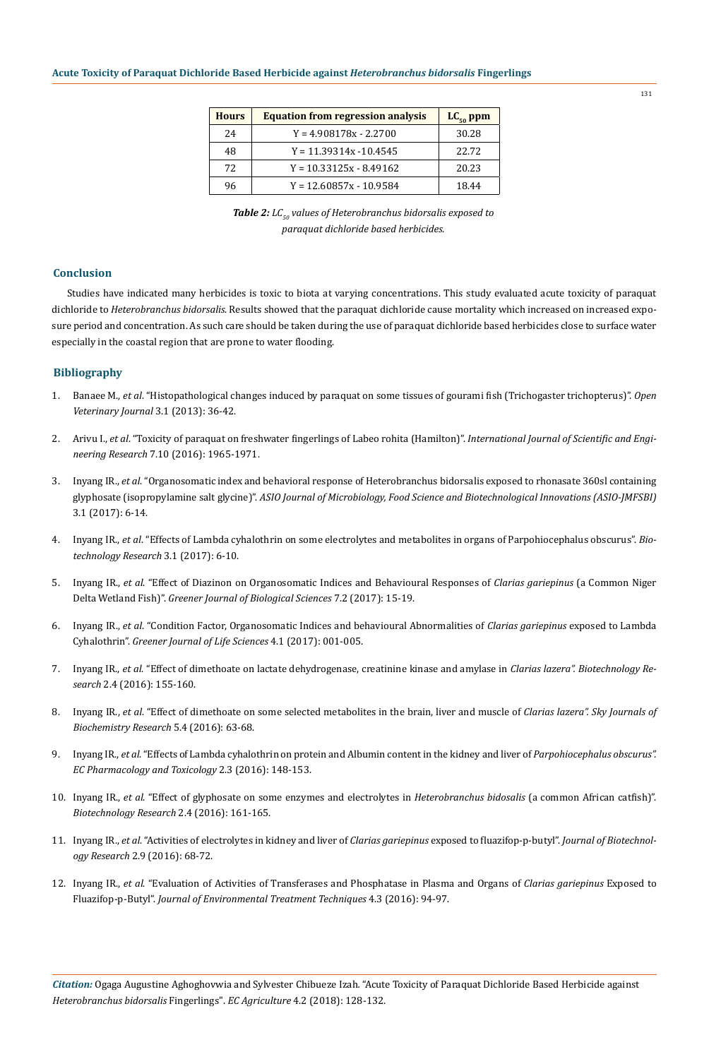| <b>Hours</b> | <b>Equation from regression analysis</b> | $LC_{50}$ ppm |
|--------------|------------------------------------------|---------------|
| 24           | $Y = 4.908178x - 2.2700$                 | 30.28         |
| 48           | $Y = 11.39314x - 10.4545$                | 22.72         |
| 72           | $Y = 10.33125x - 8.49162$                | 20.23         |
| 96           | $Y = 12.60857x - 10.9584$                | 18.44         |

*Table 2: LC<sub>50</sub> values of Heterobranchus bidorsalis exposed to paraquat dichloride based herbicides.*

#### **Conclusion**

Studies have indicated many herbicides is toxic to biota at varying concentrations. This study evaluated acute toxicity of paraquat dichloride to *Heterobranchus bidorsalis*. Results showed that the paraquat dichloride cause mortality which increased on increased exposure period and concentration. As such care should be taken during the use of paraquat dichloride based herbicides close to surface water especially in the coastal region that are prone to water flooding.

#### **Bibliography**

- 1. Banaee M., *et al*[. "Histopathological changes induced by paraquat on some tissues of gourami fish \(Trichogaster trichopterus\)".](https://www.ncbi.nlm.nih.gov/pmc/articles/PMC4629585/) *Open [Veterinary Journal](https://www.ncbi.nlm.nih.gov/pmc/articles/PMC4629585/)* 3.1 (2013): 36-42.
- 2. Arivu I., *et al*[. "Toxicity of paraquat on freshwater fingerlings of Labeo rohita \(Hamilton\)".](https://pdfs.semanticscholar.org/56cc/6a69f20ba41e1ea019b5e15d6420653c59c1.pdf) *International Journal of Scientific and Engineering Research* [7.10 \(2016\): 1965-1971.](https://pdfs.semanticscholar.org/56cc/6a69f20ba41e1ea019b5e15d6420653c59c1.pdf)
- 3. Inyang IR., *et al*[. "Organosomatic index and behavioral response of Heterobranchus bidorsalis exposed to rhonasate 360sl containing](https://albertscience.com/asset/images/uploads/14917499167075.pdf)  glyphosate (isopropylamine salt glycine)". *[ASIO Journal of Microbiology, Food Science and Biotechnological Innovations \(ASIO-JMFSBI\)](https://albertscience.com/asset/images/uploads/14917499167075.pdf)* [3.1 \(2017\): 6-14.](https://albertscience.com/asset/images/uploads/14917499167075.pdf)
- 4. Inyang IR., *et al*[. "Effects of Lambda cyhalothrin on some electrolytes and metabolites in organs of Parpohiocephalus obscurus".](https://www.researchgate.net/publication/314664595_Effects_of_Lambda_cyhalothrin_on_some_electrolytes_and_metabolites_in_organs_of_Parpohiocephalus_obscurus) *Bio[technology Research](https://www.researchgate.net/publication/314664595_Effects_of_Lambda_cyhalothrin_on_some_electrolytes_and_metabolites_in_organs_of_Parpohiocephalus_obscurus)* 3.1 (2017): 6-10.
- 5. Inyang IR., *et al*[. "Effect of Diazinon on Organosomatic Indices and Behavioural Responses of](http://gjournals.org/GJBS/Publication/2017/February/HTML/020917021%20Inyang%20et%20al.htm) *Clarias gariepinus* (a Common Niger Delta Wetland Fish)". *[Greener Journal of Biological Sciences](http://gjournals.org/GJBS/Publication/2017/February/HTML/020917021%20Inyang%20et%20al.htm)* 7.2 (2017): 15-19.
- 6. Inyang IR., *et al*[. "Condition Factor, Organosomatic Indices and behavioural Abnormalities of](http://gjournals.org/GJLS/Publication/2017/February/HTML/020817019%20Inyang%20et%20al.htm) *Clarias gariepinus* exposed to Lambda Cyhalothrin". *[Greener Journal of Life Sciences](http://gjournals.org/GJLS/Publication/2017/February/HTML/020817019%20Inyang%20et%20al.htm)* 4.1 (2017): 001-005.
- 7. Inyang IR., *et al*[. "Effect of dimethoate on lactate dehydrogenase, creatinine kinase and amylase in](https://biotechnologicalresearch.com/index.php/BR/article/viewFile/27/26) *Clarias lazera". Biotechnology Research* [2.4 \(2016\): 155-160.](https://biotechnologicalresearch.com/index.php/BR/article/viewFile/27/26)
- 8. Inyang IR., *et al*[. "Effect of dimethoate on some selected metabolites in the brain, liver and muscle of](http://www.skyjournals.org/sjbr/pdf/2016pdf/Oct/Inyang%20et%20al%20pdf.pdf) *Clarias lazera". Sky Journals of [Biochemistry Research](http://www.skyjournals.org/sjbr/pdf/2016pdf/Oct/Inyang%20et%20al%20pdf.pdf)* 5.4 (2016): 63-68.
- 9. Inyang IR., *et al*[. "Effects of Lambda cyhalothrin on protein and Albumin content in the kidney and liver of](https://www.ecronicon.com/ecpt/pdf/ECPT-02-000024.pdf) *Parpohiocephalus obscurus". [EC Pharmacology and Toxicology](https://www.ecronicon.com/ecpt/pdf/ECPT-02-000024.pdf)* 2.3 (2016): 148-153.
- 10. Inyang IR., *et al*[. "Effect of glyphosate on some enzymes and electrolytes in](http://biotechnologicalresearch.com/index.php/BR/article/view/28) *Heterobranchus bidosalis* (a common African catfish)". *[Biotechnology Research](http://biotechnologicalresearch.com/index.php/BR/article/view/28)* 2.4 (2016): 161-165.
- 11. Inyang IR., *et al*[. "Activities of electrolytes in kidney and liver of](https://ideas.repec.org/a/arp/rjbarp/2016p68-72.html) *Clarias gariepinus* exposed to fluazifop-p-butyl". *Journal of Biotechnology Research* [2.9 \(2016\): 68-72.](https://ideas.repec.org/a/arp/rjbarp/2016p68-72.html)
- 12. Inyang IR., *et al*[. "Evaluation of Activities of Transferases and Phosphatase in Plasma and Organs of](http://www.jett.dormaj.com/docs/Volume4/Issue%203/html/Evaluation%20of%20activities%20of%20tranferases%20and%20phosphatase%20in%20plasma%20and%20organs%20of%20Clarias%20gariepinus%20exposed%20to%20fluazifop-p-butyl_files/index.htm) *Clarias gariepinus* Exposed to Fluazifop-p-Butyl". *[Journal of Environmental Treatment Techniques](http://www.jett.dormaj.com/docs/Volume4/Issue%203/html/Evaluation%20of%20activities%20of%20tranferases%20and%20phosphatase%20in%20plasma%20and%20organs%20of%20Clarias%20gariepinus%20exposed%20to%20fluazifop-p-butyl_files/index.htm)* 4.3 (2016): 94-97.

*Citation:* Ogaga Augustine Aghoghovwia and Sylvester Chibueze Izah*.* "Acute Toxicity of Paraquat Dichloride Based Herbicide against *Heterobranchus bidorsalis* Fingerlings". *EC Agriculture* 4.2 (2018): 128-132.